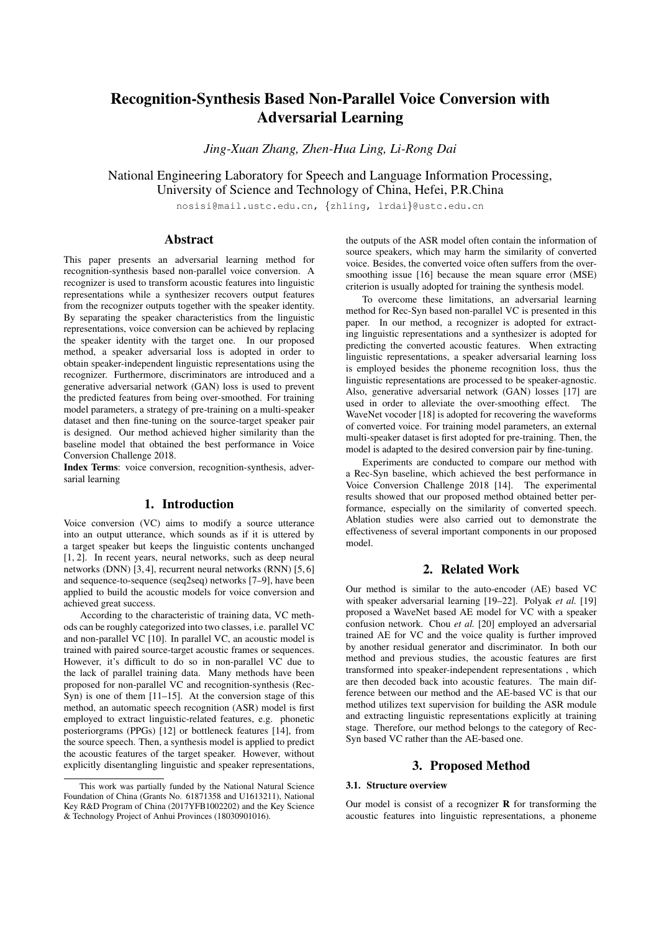# Recognition-Synthesis Based Non-Parallel Voice Conversion with Adversarial Learning

*Jing-Xuan Zhang, Zhen-Hua Ling, Li-Rong Dai*

National Engineering Laboratory for Speech and Language Information Processing, University of Science and Technology of China, Hefei, P.R.China

nosisi@mail.ustc.edu.cn, {zhling, lrdai}@ustc.edu.cn

## Abstract

This paper presents an adversarial learning method for recognition-synthesis based non-parallel voice conversion. A recognizer is used to transform acoustic features into linguistic representations while a synthesizer recovers output features from the recognizer outputs together with the speaker identity. By separating the speaker characteristics from the linguistic representations, voice conversion can be achieved by replacing the speaker identity with the target one. In our proposed method, a speaker adversarial loss is adopted in order to obtain speaker-independent linguistic representations using the recognizer. Furthermore, discriminators are introduced and a generative adversarial network (GAN) loss is used to prevent the predicted features from being over-smoothed. For training model parameters, a strategy of pre-training on a multi-speaker dataset and then fine-tuning on the source-target speaker pair is designed. Our method achieved higher similarity than the baseline model that obtained the best performance in Voice Conversion Challenge 2018.

Index Terms: voice conversion, recognition-synthesis, adversarial learning

## 1. Introduction

Voice conversion (VC) aims to modify a source utterance into an output utterance, which sounds as if it is uttered by a target speaker but keeps the linguistic contents unchanged [1, 2]. In recent years, neural networks, such as deep neural networks (DNN) [3, 4], recurrent neural networks (RNN) [5, 6] and sequence-to-sequence (seq2seq) networks [7–9], have been applied to build the acoustic models for voice conversion and achieved great success.

According to the characteristic of training data, VC methods can be roughly categorized into two classes, i.e. parallel VC and non-parallel VC [10]. In parallel VC, an acoustic model is trained with paired source-target acoustic frames or sequences. However, it's difficult to do so in non-parallel VC due to the lack of parallel training data. Many methods have been proposed for non-parallel VC and recognition-synthesis (Rec-Syn) is one of them [11–15]. At the conversion stage of this method, an automatic speech recognition (ASR) model is first employed to extract linguistic-related features, e.g. phonetic posteriorgrams (PPGs) [12] or bottleneck features [14], from the source speech. Then, a synthesis model is applied to predict the acoustic features of the target speaker. However, without explicitly disentangling linguistic and speaker representations, the outputs of the ASR model often contain the information of source speakers, which may harm the similarity of converted voice. Besides, the converted voice often suffers from the oversmoothing issue [16] because the mean square error (MSE) criterion is usually adopted for training the synthesis model.

To overcome these limitations, an adversarial learning method for Rec-Syn based non-parallel VC is presented in this paper. In our method, a recognizer is adopted for extracting linguistic representations and a synthesizer is adopted for predicting the converted acoustic features. When extracting linguistic representations, a speaker adversarial learning loss is employed besides the phoneme recognition loss, thus the linguistic representations are processed to be speaker-agnostic. Also, generative adversarial network (GAN) losses [17] are used in order to alleviate the over-smoothing effect. The WaveNet vocoder [18] is adopted for recovering the waveforms of converted voice. For training model parameters, an external multi-speaker dataset is first adopted for pre-training. Then, the model is adapted to the desired conversion pair by fine-tuning.

Experiments are conducted to compare our method with a Rec-Syn baseline, which achieved the best performance in Voice Conversion Challenge 2018 [14]. The experimental results showed that our proposed method obtained better performance, especially on the similarity of converted speech. Ablation studies were also carried out to demonstrate the effectiveness of several important components in our proposed model.

# 2. Related Work

Our method is similar to the auto-encoder (AE) based VC with speaker adversarial learning [19–22]. Polyak *et al.* [19] proposed a WaveNet based AE model for VC with a speaker confusion network. Chou *et al.* [20] employed an adversarial trained AE for VC and the voice quality is further improved by another residual generator and discriminator. In both our method and previous studies, the acoustic features are first transformed into speaker-independent representations , which are then decoded back into acoustic features. The main difference between our method and the AE-based VC is that our method utilizes text supervision for building the ASR module and extracting linguistic representations explicitly at training stage. Therefore, our method belongs to the category of Rec-Syn based VC rather than the AE-based one.

### 3. Proposed Method

### 3.1. Structure overview

Our model is consist of a recognizer  **for transforming the** acoustic features into linguistic representations, a phoneme

This work was partially funded by the National Natural Science Foundation of China (Grants No. 61871358 and U1613211), National Key R&D Program of China (2017YFB1002202) and the Key Science & Technology Project of Anhui Provinces (18030901016).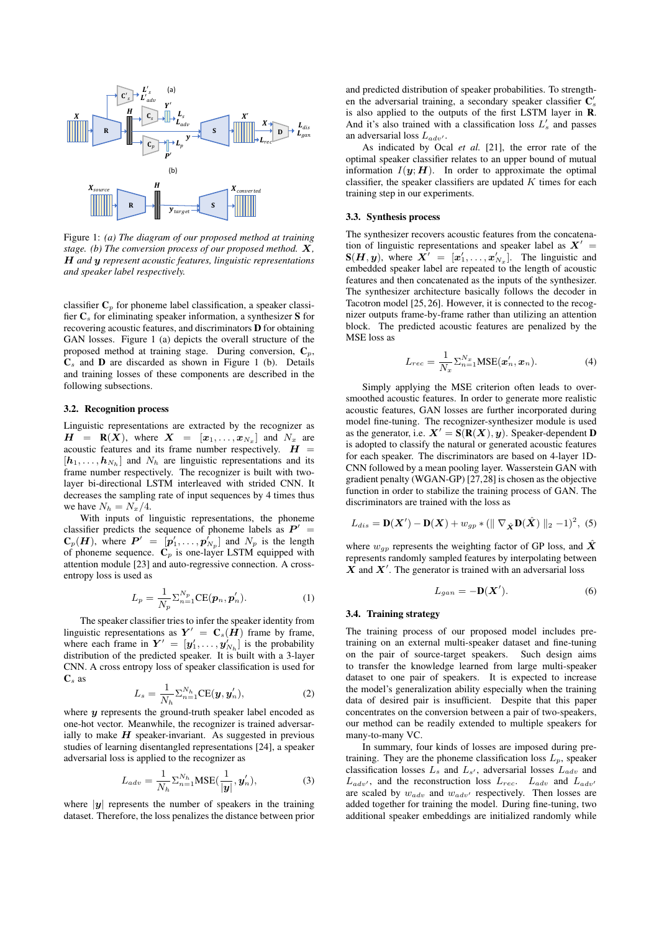

Figure 1: *(a) The diagram of our proposed method at training stage. (b) The conversion process of our proposed method. X, H and y represent acoustic features, linguistic representations and speaker label respectively.*

classifier  $C_p$  for phoneme label classification, a speaker classifier  $C_s$  for eliminating speaker information, a synthesizer S for recovering acoustic features, and discriminators D for obtaining GAN losses. Figure 1 (a) depicts the overall structure of the proposed method at training stage. During conversion,  $C_p$ ,  $C_s$  and **D** are discarded as shown in Figure 1 (b). Details and training losses of these components are described in the following subsections.

### 3.2. Recognition process

Linguistic representations are extracted by the recognizer as  $H = \mathbf{R}(X)$ , where  $X = [x_1, \ldots, x_{N_x}]$  and  $N_x$  are acoustic features and its frame number respectively.  $H =$  $[h_1, \ldots, h_{N_h}]$  and  $N_h$  are linguistic representations and its frame number respectively. The recognizer is built with twolayer bi-directional LSTM interleaved with strided CNN. It decreases the sampling rate of input sequences by 4 times thus we have  $N_h = N_x/4$ .

With inputs of linguistic representations, the phoneme classifier predicts the sequence of phoneme labels as  $P' =$  $\mathbf{C}_p(H)$ , where  $P' = [p'_1, \ldots, p'_{N_p}]$  and  $N_p$  is the length of phoneme sequence.  $\mathbf{C}_p$  is one-layer LSTM equipped with attention module [23] and auto-regressive connection. A crossentropy loss is used as

$$
L_p = \frac{1}{N_p} \sum_{n=1}^{N_p} CE(\boldsymbol{p}_n, \boldsymbol{p}'_n).
$$
 (1)

The speaker classifier tries to infer the speaker identity from linguistic representations as  $Y' = C_s(H)$  frame by frame, where each frame in  $Y' = [y'_1, \ldots, y'_{N_h}]$  is the probability distribution of the predicted speaker. It is built with a 3-layer CNN. A cross entropy loss of speaker classification is used for  $\mathbf{C}_s$  as

$$
L_s = \frac{1}{N_h} \Sigma_{n=1}^{N_h} CE(\mathbf{y}, \mathbf{y}_n'),
$$
 (2)

where *y* represents the ground-truth speaker label encoded as one-hot vector. Meanwhile, the recognizer is trained adversarially to make  $H$  speaker-invariant. As suggested in previous studies of learning disentangled representations [24], a speaker adversarial loss is applied to the recognizer as

$$
L_{adv} = \frac{1}{N_h} \sum_{n=1}^{N_h} \text{MSE}(\frac{1}{|\mathbf{y}|}, \mathbf{y}'_n), \tag{3}
$$

where  $|y|$  represents the number of speakers in the training dataset. Therefore, the loss penalizes the distance between prior and predicted distribution of speaker probabilities. To strengthen the adversarial training, a secondary speaker classifier  $\mathbf{C}'_s$ is also applied to the outputs of the first LSTM layer in R. And it's also trained with a classification loss  $L'_{s}$  and passes an adversarial loss  $L_{adv'}$ .

As indicated by Ocal *et al.* [21], the error rate of the optimal speaker classifier relates to an upper bound of mutual information  $I(\mathbf{y}; \mathbf{H})$ . In order to approximate the optimal classifier, the speaker classifiers are updated  $K$  times for each training step in our experiments.

#### 3.3. Synthesis process

The synthesizer recovers acoustic features from the concatenation of linguistic representations and speaker label as  $X' =$  $S(H, y)$ , where  $X' = [x'_1, \ldots, x'_{N_x}]$ . The linguistic and embedded speaker label are repeated to the length of acoustic features and then concatenated as the inputs of the synthesizer. The synthesizer architecture basically follows the decoder in Tacotron model [25, 26]. However, it is connected to the recognizer outputs frame-by-frame rather than utilizing an attention block. The predicted acoustic features are penalized by the MSE loss as

$$
L_{rec} = \frac{1}{N_x} \sum_{n=1}^{N_x} \text{MSE}(\boldsymbol{x}'_n, \boldsymbol{x}_n).
$$
 (4)

Simply applying the MSE criterion often leads to oversmoothed acoustic features. In order to generate more realistic acoustic features, GAN losses are further incorporated during model fine-tuning. The recognizer-synthesizer module is used as the generator, i.e.  $X' = S(R(X), y)$ . Speaker-dependent **D** is adopted to classify the natural or generated acoustic features for each speaker. The discriminators are based on 4-layer 1D-CNN followed by a mean pooling layer. Wasserstein GAN with gradient penalty (WGAN-GP) [27,28] is chosen as the objective function in order to stabilize the training process of GAN. The discriminators are trained with the loss as

$$
L_{dis} = \mathbf{D}(\mathbf{X}') - \mathbf{D}(\mathbf{X}) + w_{gp} * (\parallel \nabla_{\hat{\mathbf{X}}} \mathbf{D}(\hat{\mathbf{X}}) \parallel_2 - 1)^2, (5)
$$

where  $w_{qp}$  represents the weighting factor of GP loss, and  $\ddot{X}$ represents randomly sampled features by interpolating between  $X$  and  $X'$ . The generator is trained with an adversarial loss

$$
L_{gan} = -\mathbf{D}(\mathbf{X}'). \tag{6}
$$

#### 3.4. Training strategy

The training process of our proposed model includes pretraining on an external multi-speaker dataset and fine-tuning on the pair of source-target speakers. Such design aims to transfer the knowledge learned from large multi-speaker dataset to one pair of speakers. It is expected to increase the model's generalization ability especially when the training data of desired pair is insufficient. Despite that this paper concentrates on the conversion between a pair of two-speakers, our method can be readily extended to multiple speakers for many-to-many VC.

In summary, four kinds of losses are imposed during pretraining. They are the phoneme classification loss  $L<sub>n</sub>$ , speaker classification losses  $L_s$  and  $L_{s'}$ , adversarial losses  $L_{adv}$  and  $L_{adv}$ , and the reconstruction loss  $L_{rec}$ .  $L_{adv}$  and  $L_{adv}$ are scaled by  $w_{adv}$  and  $w_{adv}$  respectively. Then losses are added together for training the model. During fine-tuning, two additional speaker embeddings are initialized randomly while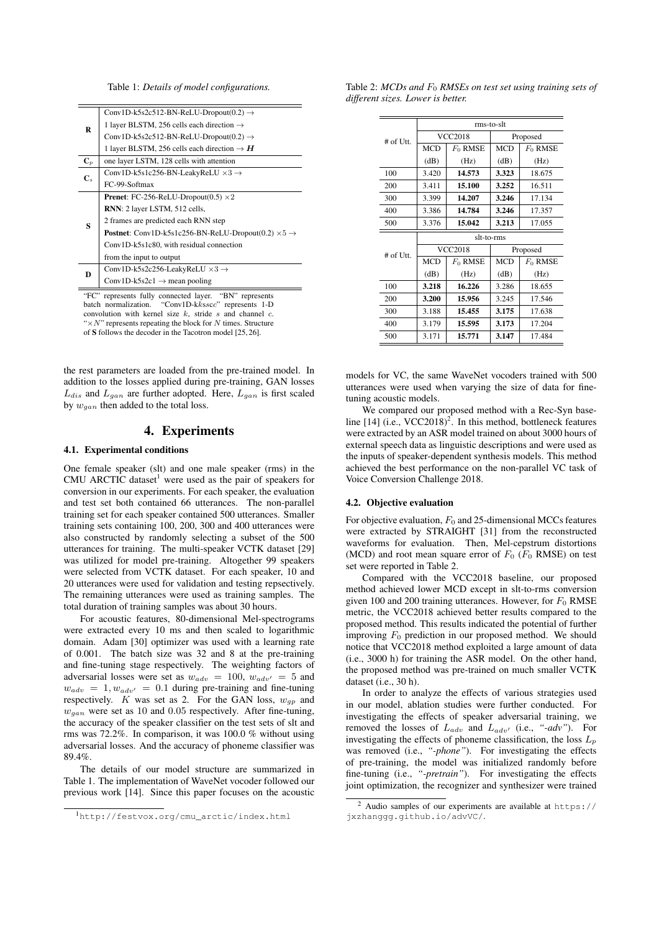Table 1: *Details of model configurations.*

| R              | Conv1D-k5s2c512-BN-ReLU-Dropout(0.2) $\rightarrow$                            |
|----------------|-------------------------------------------------------------------------------|
|                | 1 layer BLSTM, 256 cells each direction $\rightarrow$                         |
|                | Conv1D-k5s2c512-BN-ReLU-Dropout(0.2) $\rightarrow$                            |
|                | 1 layer BLSTM, 256 cells each direction $\rightarrow$ H                       |
| ${\bf C}_p$    | one layer LSTM, 128 cells with attention                                      |
| $\mathbf{C}$ . | Conv1D-k5s1c256-BN-LeakyReLU $\times$ 3 $\rightarrow$                         |
|                | FC-99-Softmax                                                                 |
| S              | <b>Prenet:</b> FC-256-ReLU-Dropout(0.5) $\times 2$                            |
|                | <b>RNN</b> : 2 layer LSTM, 512 cells,                                         |
|                | 2 frames are predicted each RNN step                                          |
|                | <b>Postnet:</b> Conv1D-k5s1c256-BN-ReLU-Dropout(0.2) $\times$ 5 $\rightarrow$ |
|                | Conv1D-k5s1c80, with residual connection                                      |
|                | from the input to output                                                      |
| D              | Conv1D-k5s2c256-LeakyReLU $\times$ 3 $\rightarrow$                            |
|                | Conv1D-k5s2c1 $\rightarrow$ mean pooling                                      |
|                |                                                                               |

"FC" represents fully connected layer. "BN" represents batch normalization. "Conv1D-kksscc" represents 1-D convolution with kernel size  $k$ , stride  $s$  and channel  $c$ .  $\times N$ " represents repeating the block for N times. Structure of S follows the decoder in the Tacotron model [25, 26].

the rest parameters are loaded from the pre-trained model. In addition to the losses applied during pre-training, GAN losses  $L_{dis}$  and  $L_{gan}$  are further adopted. Here,  $L_{gan}$  is first scaled by  $w_{gan}$  then added to the total loss.

# 4. Experiments

#### 4.1. Experimental conditions

One female speaker (slt) and one male speaker (rms) in the CMU ARCTIC dataset<sup>1</sup> were used as the pair of speakers for conversion in our experiments. For each speaker, the evaluation and test set both contained 66 utterances. The non-parallel training set for each speaker contained 500 utterances. Smaller training sets containing 100, 200, 300 and 400 utterances were also constructed by randomly selecting a subset of the 500 utterances for training. The multi-speaker VCTK dataset [29] was utilized for model pre-training. Altogether 99 speakers were selected from VCTK dataset. For each speaker, 10 and 20 utterances were used for validation and testing repsectively. The remaining utterances were used as training samples. The total duration of training samples was about 30 hours.

For acoustic features, 80-dimensional Mel-spectrograms were extracted every 10 ms and then scaled to logarithmic domain. Adam [30] optimizer was used with a learning rate of 0.001. The batch size was 32 and 8 at the pre-training and fine-tuning stage respectively. The weighting factors of adversarial losses were set as  $w_{adv} = 100$ ,  $w_{adv'} = 5$  and  $w_{adv} = 1, w_{adv'} = 0.1$  during pre-training and fine-tuning respectively. K was set as 2. For the GAN loss,  $w_{qp}$  and  $w_{gan}$  were set as 10 and 0.05 respectively. After fine-tuning, the accuracy of the speaker classifier on the test sets of slt and rms was 72.2%. In comparison, it was 100.0 % without using adversarial losses. And the accuracy of phoneme classifier was 89.4%.

The details of our model structure are summarized in Table 1. The implementation of WaveNet vocoder followed our previous work [14]. Since this paper focuses on the acoustic

Table 2: *MCDs and*  $F_0$  *RMSEs on test set using training sets of different sizes. Lower is better.*

|                         | rms-to-slt     |            |            |            |  |
|-------------------------|----------------|------------|------------|------------|--|
| $#$ of Utt.             | <b>VCC2018</b> |            | Proposed   |            |  |
|                         | <b>MCD</b>     | $F_0$ RMSE | <b>MCD</b> | $F_0$ RMSE |  |
|                         | (dB)           | (Hz)       | (dB)       | (Hz)       |  |
| 100                     | 3.420          | 14.573     | 3.323      | 18.675     |  |
| 200                     | 3.411          | 15.100     | 3.252      | 16.511     |  |
| 300                     | 3.399          | 14.207     | 3.246      | 17.134     |  |
| 400                     | 3.386          | 14.784     | 3.246      | 17.357     |  |
| 500                     | 3.376          | 15.042     | 3.213      | 17.055     |  |
|                         | slt-to-rms     |            |            |            |  |
| # of $\overline{I}$ Itt | <b>VCC2018</b> |            | Proposed   |            |  |
|                         | <b>MCD</b>     | $F_0$ RMSE | <b>MCD</b> | $F_0$ RMSE |  |
|                         | (dB)           | (Hz)       | (dB)       | (Hz)       |  |
| 100                     | 3.218          | 16.226     | 3.286      | 18.655     |  |
| 200                     | 3.200          | 15.956     | 3.245      | 17.546     |  |
| 300                     | 3.188          | 15.455     | 3.175      | 17.638     |  |
| 400                     | 3.179          | 15.595     | 3.173      | 17.204     |  |
| 500                     | 3.171          | 15.771     | 3.147      | 17.484     |  |

models for VC, the same WaveNet vocoders trained with 500 utterances were used when varying the size of data for finetuning acoustic models.

We compared our proposed method with a Rec-Syn baseline [14]  $(i.e., VCC2018)^2$ . In this method, bottleneck features were extracted by an ASR model trained on about 3000 hours of external speech data as linguistic descriptions and were used as the inputs of speaker-dependent synthesis models. This method achieved the best performance on the non-parallel VC task of Voice Conversion Challenge 2018.

#### 4.2. Objective evaluation

For objective evaluation,  $F_0$  and 25-dimensional MCCs features were extracted by STRAIGHT [31] from the reconstructed waveforms for evaluation. Then, Mel-cepstrum distortions (MCD) and root mean square error of  $F_0$  ( $F_0$  RMSE) on test set were reported in Table 2.

Compared with the VCC2018 baseline, our proposed method achieved lower MCD except in slt-to-rms conversion given 100 and 200 training utterances. However, for  $F_0$  RMSE metric, the VCC2018 achieved better results compared to the proposed method. This results indicated the potential of further improving  $F_0$  prediction in our proposed method. We should notice that VCC2018 method exploited a large amount of data (i.e., 3000 h) for training the ASR model. On the other hand, the proposed method was pre-trained on much smaller VCTK dataset (i.e., 30 h).

In order to analyze the effects of various strategies used in our model, ablation studies were further conducted. For investigating the effects of speaker adversarial training, we removed the losses of  $L_{adv}$  and  $L_{adv'}$  (i.e., "-adv"). For investigating the effects of phoneme classification, the loss  $L_p$ was removed (i.e., "-phone"). For investigating the effects of pre-training, the model was initialized randomly before fine-tuning (i.e., *"-pretrain"*). For investigating the effects joint optimization, the recognizer and synthesizer were trained

<sup>1</sup>http://festvox.org/cmu\_arctic/index.html

<sup>2</sup> Audio samples of our experiments are available at https:// jxzhanggg.github.io/advVC/.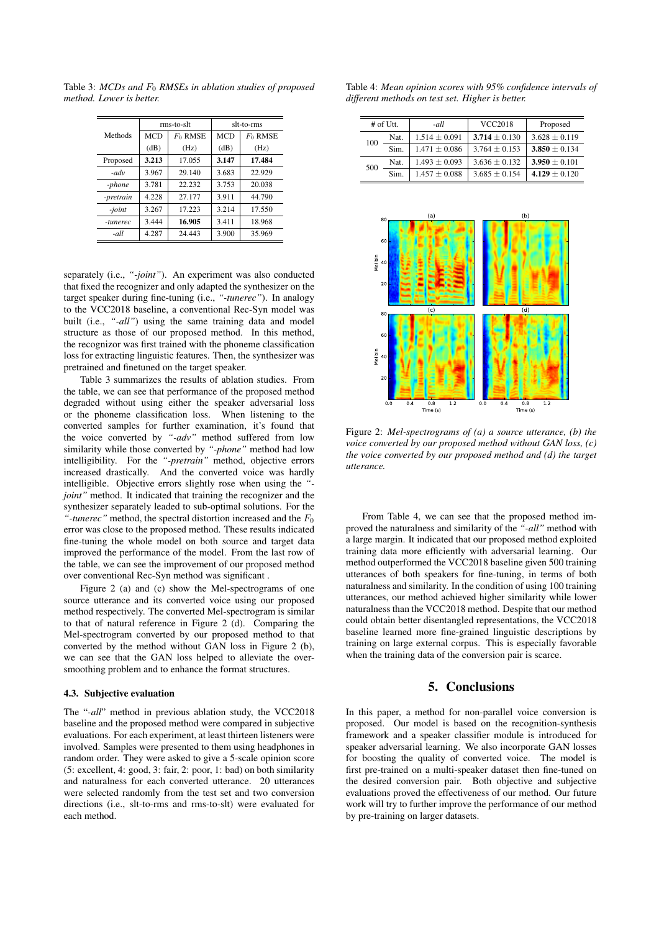Table 3: *MCDs and*  $F_0$  *RMSEs in ablation studies of proposed method. Lower is better.*

|           | rms-to-slt |            | slt-to-rms |            |
|-----------|------------|------------|------------|------------|
| Methods   | <b>MCD</b> | $F_0$ RMSE | <b>MCD</b> | $F_0$ RMSE |
|           | (dB)       | (Hz)       | (dB)       | (Hz)       |
| Proposed  | 3.213      | 17.055     | 3.147      | 17.484     |
| $-adv$    | 3.967      | 29.140     | 3.683      | 22.929     |
| -phone    | 3.781      | 22.232     | 3.753      | 20.038     |
| -pretrain | 4.228      | 27.177     | 3.911      | 44.790     |
| -joint    | 3.267      | 17.223     | 3.214      | 17.550     |
| -tunerec  | 3.444      | 16.905     | 3.411      | 18.968     |
| -all      | 4.287      | 24.443     | 3.900      | 35.969     |

separately (i.e., *"-joint"*). An experiment was also conducted that fixed the recognizer and only adapted the synthesizer on the target speaker during fine-tuning (i.e., *"-tunerec"*). In analogy to the VCC2018 baseline, a conventional Rec-Syn model was built (i.e., "-all") using the same training data and model structure as those of our proposed method. In this method, the recognizor was first trained with the phoneme classification loss for extracting linguistic features. Then, the synthesizer was pretrained and finetuned on the target speaker.

Table 3 summarizes the results of ablation studies. From the table, we can see that performance of the proposed method degraded without using either the speaker adversarial loss or the phoneme classification loss. When listening to the converted samples for further examination, it's found that the voice converted by *"-adv"* method suffered from low similarity while those converted by *"-phone"* method had low intelligibility. For the *"-pretrain"* method, objective errors increased drastically. And the converted voice was hardly intelligible. Objective errors slightly rose when using the *" joint"* method. It indicated that training the recognizer and the synthesizer separately leaded to sub-optimal solutions. For the "-*tunerec*" method, the spectral distortion increased and the  $F_0$ error was close to the proposed method. These results indicated fine-tuning the whole model on both source and target data improved the performance of the model. From the last row of the table, we can see the improvement of our proposed method over conventional Rec-Syn method was significant .

Figure 2 (a) and (c) show the Mel-spectrograms of one source utterance and its converted voice using our proposed method respectively. The converted Mel-spectrogram is similar to that of natural reference in Figure 2 (d). Comparing the Mel-spectrogram converted by our proposed method to that converted by the method without GAN loss in Figure 2 (b), we can see that the GAN loss helped to alleviate the oversmoothing problem and to enhance the format structures.

#### 4.3. Subjective evaluation

The "*-all*" method in previous ablation study, the VCC2018 baseline and the proposed method were compared in subjective evaluations. For each experiment, at least thirteen listeners were involved. Samples were presented to them using headphones in random order. They were asked to give a 5-scale opinion score (5: excellent, 4: good, 3: fair, 2: poor, 1: bad) on both similarity and naturalness for each converted utterance. 20 utterances were selected randomly from the test set and two conversion directions (i.e., slt-to-rms and rms-to-slt) were evaluated for each method.

Table 4: *Mean opinion scores with 95% confidence intervals of different methods on test set. Higher is better.*

| # of $U$ tt. |      | -all              | <b>VCC2018</b>    | Proposed          |
|--------------|------|-------------------|-------------------|-------------------|
| 100          | Nat. | $1.514 \pm 0.091$ | $3.714 \pm 0.130$ | $3.628 \pm 0.119$ |
|              | Sim. | $1.471 \pm 0.086$ | $3.764 + 0.153$   | $3.850 \pm 0.134$ |
| 500          | Nat. | $1.493 \pm 0.093$ | $3.636 \pm 0.132$ | $3.950 + 0.101$   |
|              | Sim. | $1.457 \pm 0.088$ | $3.685 + 0.154$   | $4.129 \pm 0.120$ |



Figure 2: *Mel-spectrograms of (a) a source utterance, (b) the voice converted by our proposed method without GAN loss, (c) the voice converted by our proposed method and (d) the target utterance.*

From Table 4, we can see that the proposed method improved the naturalness and similarity of the *"-all"* method with a large margin. It indicated that our proposed method exploited training data more efficiently with adversarial learning. Our method outperformed the VCC2018 baseline given 500 training utterances of both speakers for fine-tuning, in terms of both naturalness and similarity. In the condition of using 100 training utterances, our method achieved higher similarity while lower naturalness than the VCC2018 method. Despite that our method could obtain better disentangled representations, the VCC2018 baseline learned more fine-grained linguistic descriptions by training on large external corpus. This is especially favorable when the training data of the conversion pair is scarce.

# 5. Conclusions

In this paper, a method for non-parallel voice conversion is proposed. Our model is based on the recognition-synthesis framework and a speaker classifier module is introduced for speaker adversarial learning. We also incorporate GAN losses for boosting the quality of converted voice. The model is first pre-trained on a multi-speaker dataset then fine-tuned on the desired conversion pair. Both objective and subjective evaluations proved the effectiveness of our method. Our future work will try to further improve the performance of our method by pre-training on larger datasets.